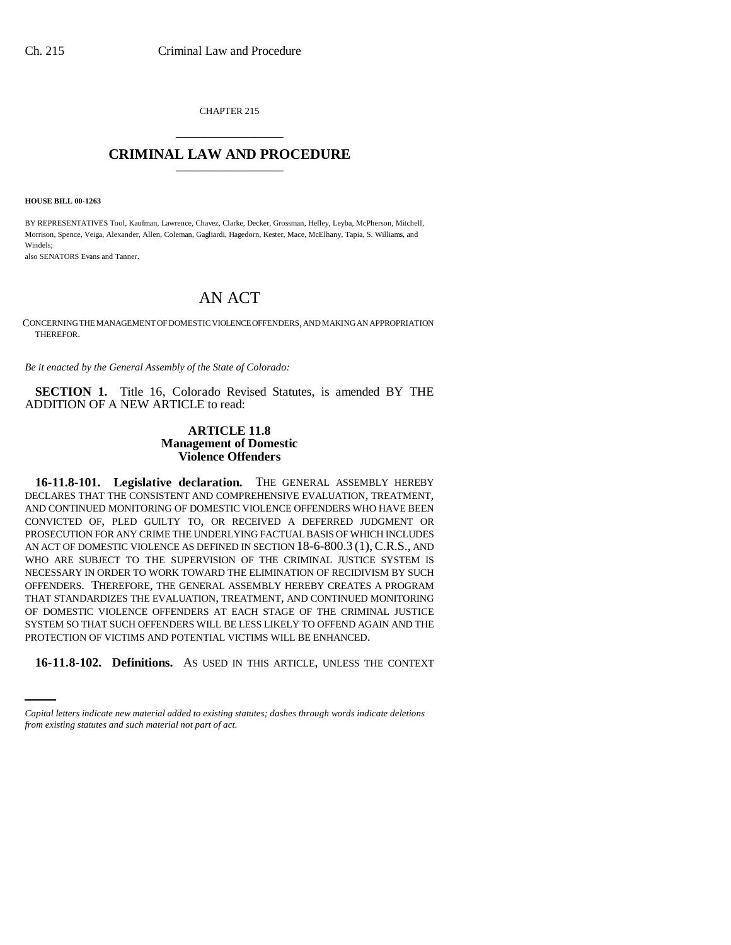CHAPTER 215 \_\_\_\_\_\_\_\_\_\_\_\_\_\_\_

# **CRIMINAL LAW AND PROCEDURE** \_\_\_\_\_\_\_\_\_\_\_\_\_\_\_

**HOUSE BILL 00-1263** 

BY REPRESENTATIVES Tool, Kaufman, Lawrence, Chavez, Clarke, Decker, Grossman, Hefley, Leyba, McPherson, Mitchell, Morrison, Spence, Veiga, Alexander, Allen, Coleman, Gagliardi, Hagedorn, Kester, Mace, McElhany, Tapia, S. Williams, and Windels;

also SENATORS Evans and Tanner.

# AN ACT

CONCERNING THE MANAGEMENT OF DOMESTIC VIOLENCE OFFENDERS, AND MAKING AN APPROPRIATION THEREFOR.

*Be it enacted by the General Assembly of the State of Colorado:*

**SECTION 1.** Title 16, Colorado Revised Statutes, is amended BY THE ADDITION OF A NEW ARTICLE to read:

## **ARTICLE 11.8 Management of Domestic Violence Offenders**

PROTECTION OF VICTIMS AND POTENTIAL VICTIMS WILL BE ENHANCED. **16-11.8-101. Legislative declaration.** THE GENERAL ASSEMBLY HEREBY DECLARES THAT THE CONSISTENT AND COMPREHENSIVE EVALUATION, TREATMENT, AND CONTINUED MONITORING OF DOMESTIC VIOLENCE OFFENDERS WHO HAVE BEEN CONVICTED OF, PLED GUILTY TO, OR RECEIVED A DEFERRED JUDGMENT OR PROSECUTION FOR ANY CRIME THE UNDERLYING FACTUAL BASIS OF WHICH INCLUDES AN ACT OF DOMESTIC VIOLENCE AS DEFINED IN SECTION 18-6-800.3 (1),C.R.S., AND WHO ARE SUBJECT TO THE SUPERVISION OF THE CRIMINAL JUSTICE SYSTEM IS NECESSARY IN ORDER TO WORK TOWARD THE ELIMINATION OF RECIDIVISM BY SUCH OFFENDERS. THEREFORE, THE GENERAL ASSEMBLY HEREBY CREATES A PROGRAM THAT STANDARDIZES THE EVALUATION, TREATMENT, AND CONTINUED MONITORING OF DOMESTIC VIOLENCE OFFENDERS AT EACH STAGE OF THE CRIMINAL JUSTICE SYSTEM SO THAT SUCH OFFENDERS WILL BE LESS LIKELY TO OFFEND AGAIN AND THE

**16-11.8-102. Definitions.** AS USED IN THIS ARTICLE, UNLESS THE CONTEXT

*Capital letters indicate new material added to existing statutes; dashes through words indicate deletions from existing statutes and such material not part of act.*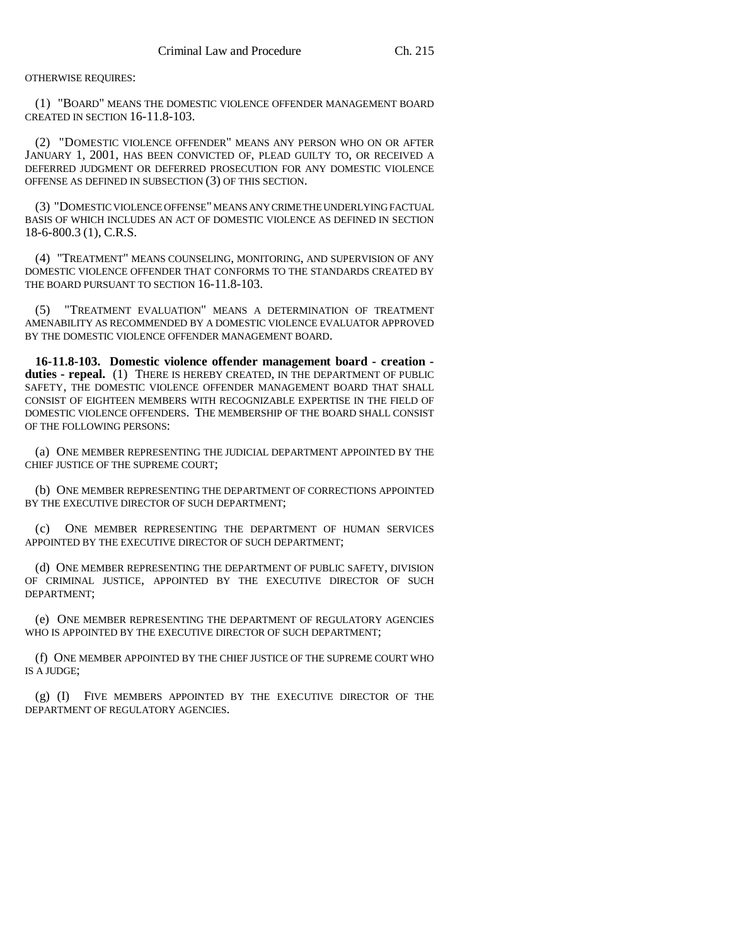### OTHERWISE REQUIRES:

(1) "BOARD" MEANS THE DOMESTIC VIOLENCE OFFENDER MANAGEMENT BOARD CREATED IN SECTION 16-11.8-103.

(2) "DOMESTIC VIOLENCE OFFENDER" MEANS ANY PERSON WHO ON OR AFTER JANUARY 1, 2001, HAS BEEN CONVICTED OF, PLEAD GUILTY TO, OR RECEIVED A DEFERRED JUDGMENT OR DEFERRED PROSECUTION FOR ANY DOMESTIC VIOLENCE OFFENSE AS DEFINED IN SUBSECTION (3) OF THIS SECTION.

(3) "DOMESTIC VIOLENCE OFFENSE" MEANS ANY CRIME THE UNDERLYING FACTUAL BASIS OF WHICH INCLUDES AN ACT OF DOMESTIC VIOLENCE AS DEFINED IN SECTION 18-6-800.3 (1), C.R.S.

(4) "TREATMENT" MEANS COUNSELING, MONITORING, AND SUPERVISION OF ANY DOMESTIC VIOLENCE OFFENDER THAT CONFORMS TO THE STANDARDS CREATED BY THE BOARD PURSUANT TO SECTION 16-11.8-103.

(5) "TREATMENT EVALUATION" MEANS A DETERMINATION OF TREATMENT AMENABILITY AS RECOMMENDED BY A DOMESTIC VIOLENCE EVALUATOR APPROVED BY THE DOMESTIC VIOLENCE OFFENDER MANAGEMENT BOARD.

**16-11.8-103. Domestic violence offender management board - creation**  duties - repeal. (1) THERE IS HEREBY CREATED, IN THE DEPARTMENT OF PUBLIC SAFETY, THE DOMESTIC VIOLENCE OFFENDER MANAGEMENT BOARD THAT SHALL CONSIST OF EIGHTEEN MEMBERS WITH RECOGNIZABLE EXPERTISE IN THE FIELD OF DOMESTIC VIOLENCE OFFENDERS. THE MEMBERSHIP OF THE BOARD SHALL CONSIST OF THE FOLLOWING PERSONS:

(a) ONE MEMBER REPRESENTING THE JUDICIAL DEPARTMENT APPOINTED BY THE CHIEF JUSTICE OF THE SUPREME COURT;

(b) ONE MEMBER REPRESENTING THE DEPARTMENT OF CORRECTIONS APPOINTED BY THE EXECUTIVE DIRECTOR OF SUCH DEPARTMENT;

(c) ONE MEMBER REPRESENTING THE DEPARTMENT OF HUMAN SERVICES APPOINTED BY THE EXECUTIVE DIRECTOR OF SUCH DEPARTMENT;

(d) ONE MEMBER REPRESENTING THE DEPARTMENT OF PUBLIC SAFETY, DIVISION OF CRIMINAL JUSTICE, APPOINTED BY THE EXECUTIVE DIRECTOR OF SUCH DEPARTMENT;

(e) ONE MEMBER REPRESENTING THE DEPARTMENT OF REGULATORY AGENCIES WHO IS APPOINTED BY THE EXECUTIVE DIRECTOR OF SUCH DEPARTMENT;

(f) ONE MEMBER APPOINTED BY THE CHIEF JUSTICE OF THE SUPREME COURT WHO IS A JUDGE;

(g) (I) FIVE MEMBERS APPOINTED BY THE EXECUTIVE DIRECTOR OF THE DEPARTMENT OF REGULATORY AGENCIES.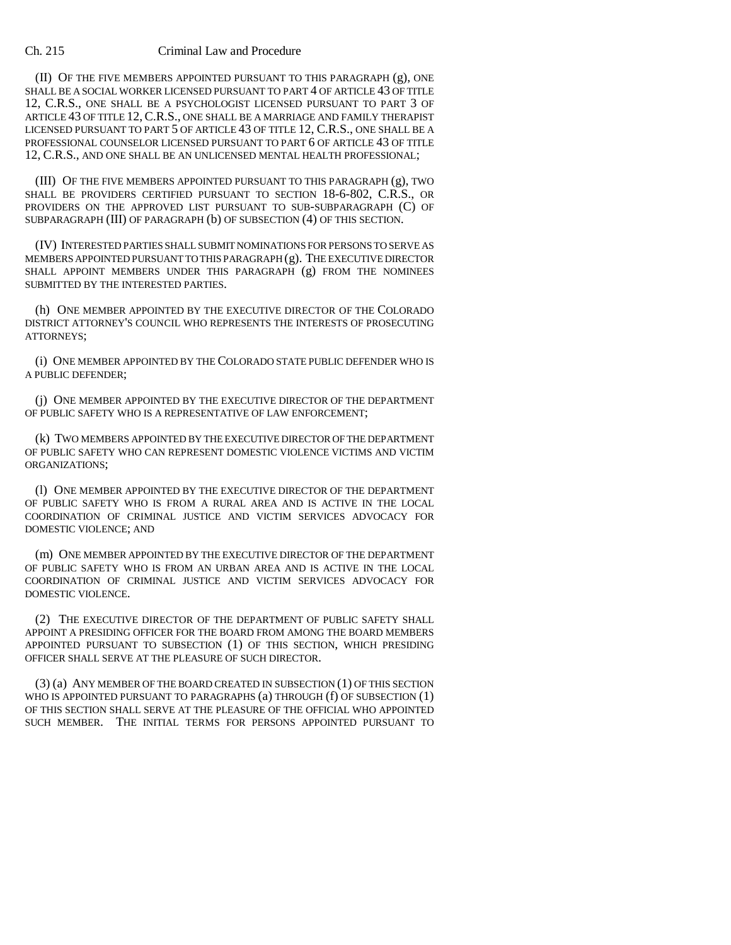#### Ch. 215 Criminal Law and Procedure

(II) OF THE FIVE MEMBERS APPOINTED PURSUANT TO THIS PARAGRAPH (g), ONE SHALL BE A SOCIAL WORKER LICENSED PURSUANT TO PART 4 OF ARTICLE 43 OF TITLE 12, C.R.S., ONE SHALL BE A PSYCHOLOGIST LICENSED PURSUANT TO PART 3 OF ARTICLE 43 OF TITLE 12,C.R.S., ONE SHALL BE A MARRIAGE AND FAMILY THERAPIST LICENSED PURSUANT TO PART 5 OF ARTICLE 43 OF TITLE 12, C.R.S., ONE SHALL BE A PROFESSIONAL COUNSELOR LICENSED PURSUANT TO PART 6 OF ARTICLE 43 OF TITLE 12, C.R.S., AND ONE SHALL BE AN UNLICENSED MENTAL HEALTH PROFESSIONAL;

(III) OF THE FIVE MEMBERS APPOINTED PURSUANT TO THIS PARAGRAPH (g), TWO SHALL BE PROVIDERS CERTIFIED PURSUANT TO SECTION 18-6-802, C.R.S., OR PROVIDERS ON THE APPROVED LIST PURSUANT TO SUB-SUBPARAGRAPH (C) OF SUBPARAGRAPH (III) OF PARAGRAPH (b) OF SUBSECTION (4) OF THIS SECTION.

(IV) INTERESTED PARTIES SHALL SUBMIT NOMINATIONS FOR PERSONS TO SERVE AS MEMBERS APPOINTED PURSUANT TO THIS PARAGRAPH (g). THE EXECUTIVE DIRECTOR SHALL APPOINT MEMBERS UNDER THIS PARAGRAPH (g) FROM THE NOMINEES SUBMITTED BY THE INTERESTED PARTIES.

(h) ONE MEMBER APPOINTED BY THE EXECUTIVE DIRECTOR OF THE COLORADO DISTRICT ATTORNEY'S COUNCIL WHO REPRESENTS THE INTERESTS OF PROSECUTING ATTORNEYS;

(i) ONE MEMBER APPOINTED BY THE COLORADO STATE PUBLIC DEFENDER WHO IS A PUBLIC DEFENDER;

(j) ONE MEMBER APPOINTED BY THE EXECUTIVE DIRECTOR OF THE DEPARTMENT OF PUBLIC SAFETY WHO IS A REPRESENTATIVE OF LAW ENFORCEMENT;

(k) TWO MEMBERS APPOINTED BY THE EXECUTIVE DIRECTOR OF THE DEPARTMENT OF PUBLIC SAFETY WHO CAN REPRESENT DOMESTIC VIOLENCE VICTIMS AND VICTIM ORGANIZATIONS;

(l) ONE MEMBER APPOINTED BY THE EXECUTIVE DIRECTOR OF THE DEPARTMENT OF PUBLIC SAFETY WHO IS FROM A RURAL AREA AND IS ACTIVE IN THE LOCAL COORDINATION OF CRIMINAL JUSTICE AND VICTIM SERVICES ADVOCACY FOR DOMESTIC VIOLENCE; AND

(m) ONE MEMBER APPOINTED BY THE EXECUTIVE DIRECTOR OF THE DEPARTMENT OF PUBLIC SAFETY WHO IS FROM AN URBAN AREA AND IS ACTIVE IN THE LOCAL COORDINATION OF CRIMINAL JUSTICE AND VICTIM SERVICES ADVOCACY FOR DOMESTIC VIOLENCE.

(2) THE EXECUTIVE DIRECTOR OF THE DEPARTMENT OF PUBLIC SAFETY SHALL APPOINT A PRESIDING OFFICER FOR THE BOARD FROM AMONG THE BOARD MEMBERS APPOINTED PURSUANT TO SUBSECTION (1) OF THIS SECTION, WHICH PRESIDING OFFICER SHALL SERVE AT THE PLEASURE OF SUCH DIRECTOR.

(3) (a) ANY MEMBER OF THE BOARD CREATED IN SUBSECTION (1) OF THIS SECTION WHO IS APPOINTED PURSUANT TO PARAGRAPHS (a) THROUGH (f) OF SUBSECTION (1) OF THIS SECTION SHALL SERVE AT THE PLEASURE OF THE OFFICIAL WHO APPOINTED SUCH MEMBER. THE INITIAL TERMS FOR PERSONS APPOINTED PURSUANT TO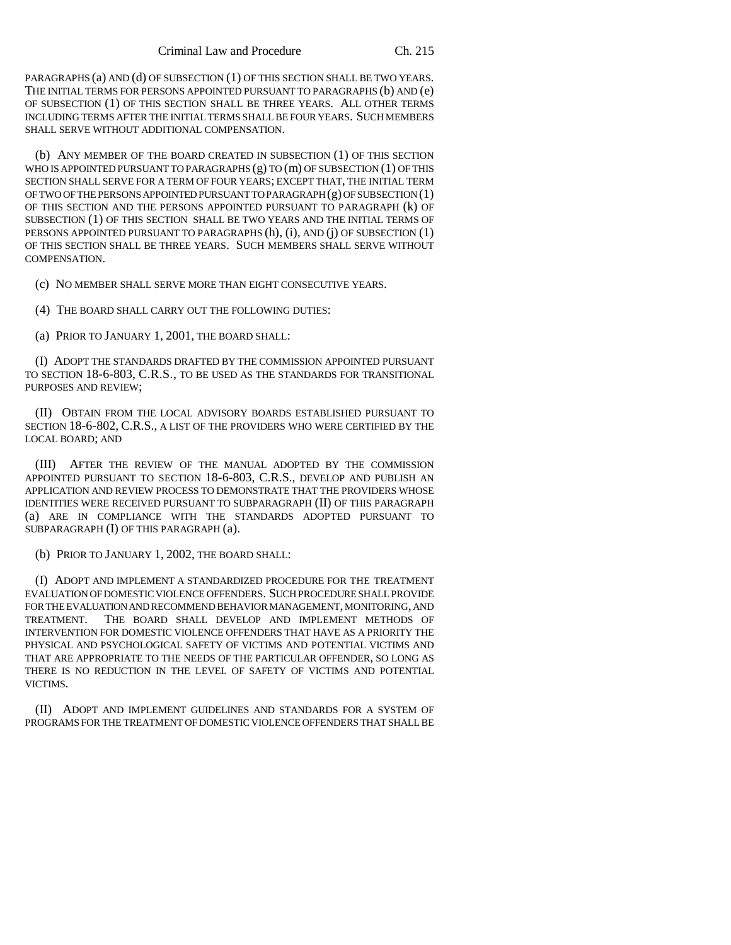PARAGRAPHS (a) AND (d) OF SUBSECTION (1) OF THIS SECTION SHALL BE TWO YEARS. THE INITIAL TERMS FOR PERSONS APPOINTED PURSUANT TO PARAGRAPHS (b) AND (e) OF SUBSECTION (1) OF THIS SECTION SHALL BE THREE YEARS. ALL OTHER TERMS INCLUDING TERMS AFTER THE INITIAL TERMS SHALL BE FOUR YEARS. SUCH MEMBERS SHALL SERVE WITHOUT ADDITIONAL COMPENSATION.

(b) ANY MEMBER OF THE BOARD CREATED IN SUBSECTION (1) OF THIS SECTION WHO IS APPOINTED PURSUANT TO PARAGRAPHS (g) TO (m) OF SUBSECTION (1) OF THIS SECTION SHALL SERVE FOR A TERM OF FOUR YEARS; EXCEPT THAT, THE INITIAL TERM OF TWO OF THE PERSONS APPOINTED PURSUANT TO PARAGRAPH (g) OF SUBSECTION (1) OF THIS SECTION AND THE PERSONS APPOINTED PURSUANT TO PARAGRAPH (k) OF SUBSECTION (1) OF THIS SECTION SHALL BE TWO YEARS AND THE INITIAL TERMS OF PERSONS APPOINTED PURSUANT TO PARAGRAPHS (h), (i), AND (j) OF SUBSECTION (1) OF THIS SECTION SHALL BE THREE YEARS. SUCH MEMBERS SHALL SERVE WITHOUT COMPENSATION.

(c) NO MEMBER SHALL SERVE MORE THAN EIGHT CONSECUTIVE YEARS.

(4) THE BOARD SHALL CARRY OUT THE FOLLOWING DUTIES:

(a) PRIOR TO JANUARY 1, 2001, THE BOARD SHALL:

(I) ADOPT THE STANDARDS DRAFTED BY THE COMMISSION APPOINTED PURSUANT TO SECTION 18-6-803, C.R.S., TO BE USED AS THE STANDARDS FOR TRANSITIONAL PURPOSES AND REVIEW;

(II) OBTAIN FROM THE LOCAL ADVISORY BOARDS ESTABLISHED PURSUANT TO SECTION 18-6-802, C.R.S., A LIST OF THE PROVIDERS WHO WERE CERTIFIED BY THE LOCAL BOARD; AND

(III) AFTER THE REVIEW OF THE MANUAL ADOPTED BY THE COMMISSION APPOINTED PURSUANT TO SECTION 18-6-803, C.R.S., DEVELOP AND PUBLISH AN APPLICATION AND REVIEW PROCESS TO DEMONSTRATE THAT THE PROVIDERS WHOSE IDENTITIES WERE RECEIVED PURSUANT TO SUBPARAGRAPH (II) OF THIS PARAGRAPH (a) ARE IN COMPLIANCE WITH THE STANDARDS ADOPTED PURSUANT TO SUBPARAGRAPH (I) OF THIS PARAGRAPH (a).

(b) PRIOR TO JANUARY 1, 2002, THE BOARD SHALL:

(I) ADOPT AND IMPLEMENT A STANDARDIZED PROCEDURE FOR THE TREATMENT EVALUATION OF DOMESTIC VIOLENCE OFFENDERS. SUCH PROCEDURE SHALL PROVIDE FOR THE EVALUATION AND RECOMMEND BEHAVIOR MANAGEMENT, MONITORING, AND TREATMENT. THE BOARD SHALL DEVELOP AND IMPLEMENT METHODS OF INTERVENTION FOR DOMESTIC VIOLENCE OFFENDERS THAT HAVE AS A PRIORITY THE PHYSICAL AND PSYCHOLOGICAL SAFETY OF VICTIMS AND POTENTIAL VICTIMS AND THAT ARE APPROPRIATE TO THE NEEDS OF THE PARTICULAR OFFENDER, SO LONG AS THERE IS NO REDUCTION IN THE LEVEL OF SAFETY OF VICTIMS AND POTENTIAL VICTIMS.

(II) ADOPT AND IMPLEMENT GUIDELINES AND STANDARDS FOR A SYSTEM OF PROGRAMS FOR THE TREATMENT OF DOMESTIC VIOLENCE OFFENDERS THAT SHALL BE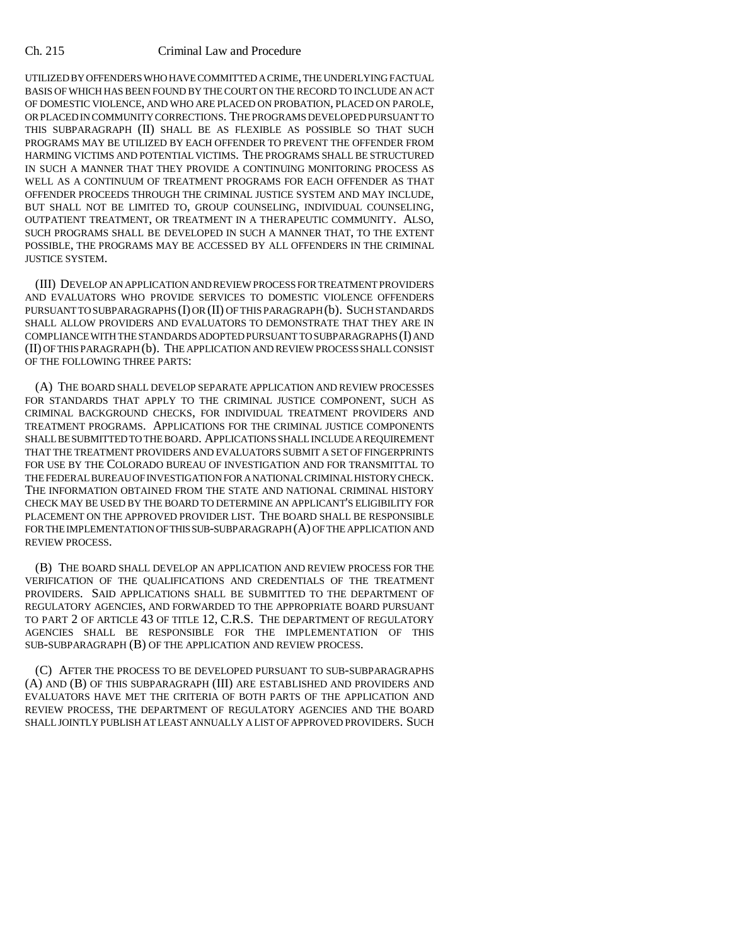#### Ch. 215 Criminal Law and Procedure

UTILIZED BY OFFENDERS WHO HAVE COMMITTED A CRIME, THE UNDERLYING FACTUAL BASIS OF WHICH HAS BEEN FOUND BY THE COURT ON THE RECORD TO INCLUDE AN ACT OF DOMESTIC VIOLENCE, AND WHO ARE PLACED ON PROBATION, PLACED ON PAROLE, OR PLACED IN COMMUNITY CORRECTIONS. THE PROGRAMS DEVELOPED PURSUANT TO THIS SUBPARAGRAPH (II) SHALL BE AS FLEXIBLE AS POSSIBLE SO THAT SUCH PROGRAMS MAY BE UTILIZED BY EACH OFFENDER TO PREVENT THE OFFENDER FROM HARMING VICTIMS AND POTENTIAL VICTIMS. THE PROGRAMS SHALL BE STRUCTURED IN SUCH A MANNER THAT THEY PROVIDE A CONTINUING MONITORING PROCESS AS WELL AS A CONTINUUM OF TREATMENT PROGRAMS FOR EACH OFFENDER AS THAT OFFENDER PROCEEDS THROUGH THE CRIMINAL JUSTICE SYSTEM AND MAY INCLUDE, BUT SHALL NOT BE LIMITED TO, GROUP COUNSELING, INDIVIDUAL COUNSELING, OUTPATIENT TREATMENT, OR TREATMENT IN A THERAPEUTIC COMMUNITY. ALSO, SUCH PROGRAMS SHALL BE DEVELOPED IN SUCH A MANNER THAT, TO THE EXTENT POSSIBLE, THE PROGRAMS MAY BE ACCESSED BY ALL OFFENDERS IN THE CRIMINAL JUSTICE SYSTEM.

(III) DEVELOP AN APPLICATION AND REVIEW PROCESS FOR TREATMENT PROVIDERS AND EVALUATORS WHO PROVIDE SERVICES TO DOMESTIC VIOLENCE OFFENDERS PURSUANT TO SUBPARAGRAPHS (I) OR (II) OF THIS PARAGRAPH (b). SUCH STANDARDS SHALL ALLOW PROVIDERS AND EVALUATORS TO DEMONSTRATE THAT THEY ARE IN COMPLIANCE WITH THE STANDARDS ADOPTED PURSUANT TO SUBPARAGRAPHS (I) AND (II) OF THIS PARAGRAPH (b). THE APPLICATION AND REVIEW PROCESS SHALL CONSIST OF THE FOLLOWING THREE PARTS:

(A) THE BOARD SHALL DEVELOP SEPARATE APPLICATION AND REVIEW PROCESSES FOR STANDARDS THAT APPLY TO THE CRIMINAL JUSTICE COMPONENT, SUCH AS CRIMINAL BACKGROUND CHECKS, FOR INDIVIDUAL TREATMENT PROVIDERS AND TREATMENT PROGRAMS. APPLICATIONS FOR THE CRIMINAL JUSTICE COMPONENTS SHALL BE SUBMITTED TO THE BOARD. APPLICATIONS SHALL INCLUDE A REQUIREMENT THAT THE TREATMENT PROVIDERS AND EVALUATORS SUBMIT A SET OF FINGERPRINTS FOR USE BY THE COLORADO BUREAU OF INVESTIGATION AND FOR TRANSMITTAL TO THE FEDERAL BUREAU OF INVESTIGATION FOR A NATIONAL CRIMINAL HISTORY CHECK. THE INFORMATION OBTAINED FROM THE STATE AND NATIONAL CRIMINAL HISTORY CHECK MAY BE USED BY THE BOARD TO DETERMINE AN APPLICANT'S ELIGIBILITY FOR PLACEMENT ON THE APPROVED PROVIDER LIST. THE BOARD SHALL BE RESPONSIBLE FOR THE IMPLEMENTATION OF THIS SUB-SUBPARAGRAPH (A) OF THE APPLICATION AND REVIEW PROCESS.

(B) THE BOARD SHALL DEVELOP AN APPLICATION AND REVIEW PROCESS FOR THE VERIFICATION OF THE QUALIFICATIONS AND CREDENTIALS OF THE TREATMENT PROVIDERS. SAID APPLICATIONS SHALL BE SUBMITTED TO THE DEPARTMENT OF REGULATORY AGENCIES, AND FORWARDED TO THE APPROPRIATE BOARD PURSUANT TO PART 2 OF ARTICLE 43 OF TITLE 12, C.R.S. THE DEPARTMENT OF REGULATORY AGENCIES SHALL BE RESPONSIBLE FOR THE IMPLEMENTATION OF THIS SUB-SUBPARAGRAPH (B) OF THE APPLICATION AND REVIEW PROCESS.

(C) AFTER THE PROCESS TO BE DEVELOPED PURSUANT TO SUB-SUBPARAGRAPHS (A) AND (B) OF THIS SUBPARAGRAPH (III) ARE ESTABLISHED AND PROVIDERS AND EVALUATORS HAVE MET THE CRITERIA OF BOTH PARTS OF THE APPLICATION AND REVIEW PROCESS, THE DEPARTMENT OF REGULATORY AGENCIES AND THE BOARD SHALL JOINTLY PUBLISH AT LEAST ANNUALLY A LIST OF APPROVED PROVIDERS. SUCH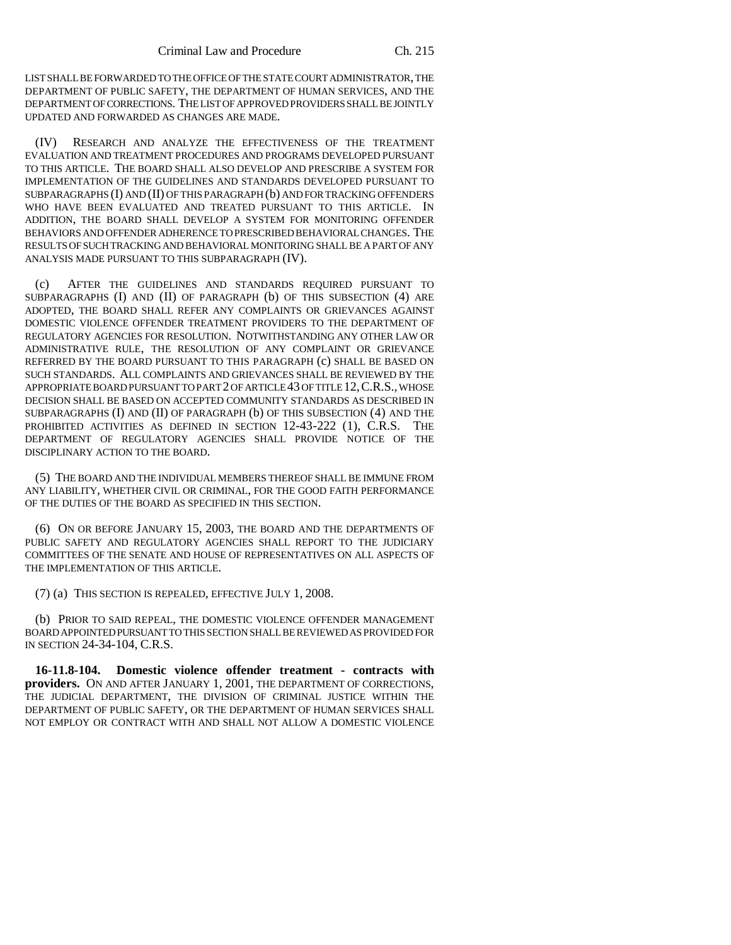LIST SHALL BE FORWARDED TO THE OFFICE OF THE STATE COURT ADMINISTRATOR, THE DEPARTMENT OF PUBLIC SAFETY, THE DEPARTMENT OF HUMAN SERVICES, AND THE DEPARTMENT OF CORRECTIONS. THE LIST OF APPROVED PROVIDERS SHALL BE JOINTLY UPDATED AND FORWARDED AS CHANGES ARE MADE.

(IV) RESEARCH AND ANALYZE THE EFFECTIVENESS OF THE TREATMENT EVALUATION AND TREATMENT PROCEDURES AND PROGRAMS DEVELOPED PURSUANT TO THIS ARTICLE. THE BOARD SHALL ALSO DEVELOP AND PRESCRIBE A SYSTEM FOR IMPLEMENTATION OF THE GUIDELINES AND STANDARDS DEVELOPED PURSUANT TO SUBPARAGRAPHS (I) AND (II) OF THIS PARAGRAPH (b) AND FOR TRACKING OFFENDERS WHO HAVE BEEN EVALUATED AND TREATED PURSUANT TO THIS ARTICLE. IN ADDITION, THE BOARD SHALL DEVELOP A SYSTEM FOR MONITORING OFFENDER BEHAVIORS AND OFFENDER ADHERENCE TO PRESCRIBED BEHAVIORAL CHANGES. THE RESULTS OF SUCH TRACKING AND BEHAVIORAL MONITORING SHALL BE A PART OF ANY ANALYSIS MADE PURSUANT TO THIS SUBPARAGRAPH (IV).

(c) AFTER THE GUIDELINES AND STANDARDS REQUIRED PURSUANT TO SUBPARAGRAPHS (I) AND (II) OF PARAGRAPH (b) OF THIS SUBSECTION (4) ARE ADOPTED, THE BOARD SHALL REFER ANY COMPLAINTS OR GRIEVANCES AGAINST DOMESTIC VIOLENCE OFFENDER TREATMENT PROVIDERS TO THE DEPARTMENT OF REGULATORY AGENCIES FOR RESOLUTION. NOTWITHSTANDING ANY OTHER LAW OR ADMINISTRATIVE RULE, THE RESOLUTION OF ANY COMPLAINT OR GRIEVANCE REFERRED BY THE BOARD PURSUANT TO THIS PARAGRAPH (c) SHALL BE BASED ON SUCH STANDARDS. ALL COMPLAINTS AND GRIEVANCES SHALL BE REVIEWED BY THE APPROPRIATE BOARD PURSUANT TO PART 2 OF ARTICLE 43 OF TITLE 12,C.R.S., WHOSE DECISION SHALL BE BASED ON ACCEPTED COMMUNITY STANDARDS AS DESCRIBED IN SUBPARAGRAPHS (I) AND (II) OF PARAGRAPH (b) OF THIS SUBSECTION (4) AND THE PROHIBITED ACTIVITIES AS DEFINED IN SECTION 12-43-222 (1), C.R.S. THE DEPARTMENT OF REGULATORY AGENCIES SHALL PROVIDE NOTICE OF THE DISCIPLINARY ACTION TO THE BOARD.

(5) THE BOARD AND THE INDIVIDUAL MEMBERS THEREOF SHALL BE IMMUNE FROM ANY LIABILITY, WHETHER CIVIL OR CRIMINAL, FOR THE GOOD FAITH PERFORMANCE OF THE DUTIES OF THE BOARD AS SPECIFIED IN THIS SECTION.

(6) ON OR BEFORE JANUARY 15, 2003, THE BOARD AND THE DEPARTMENTS OF PUBLIC SAFETY AND REGULATORY AGENCIES SHALL REPORT TO THE JUDICIARY COMMITTEES OF THE SENATE AND HOUSE OF REPRESENTATIVES ON ALL ASPECTS OF THE IMPLEMENTATION OF THIS ARTICLE.

(7) (a) THIS SECTION IS REPEALED, EFFECTIVE JULY 1, 2008.

(b) PRIOR TO SAID REPEAL, THE DOMESTIC VIOLENCE OFFENDER MANAGEMENT BOARD APPOINTED PURSUANT TO THIS SECTION SHALL BE REVIEWED AS PROVIDED FOR IN SECTION 24-34-104, C.R.S.

**16-11.8-104. Domestic violence offender treatment - contracts with providers.** ON AND AFTER JANUARY 1, 2001, THE DEPARTMENT OF CORRECTIONS, THE JUDICIAL DEPARTMENT, THE DIVISION OF CRIMINAL JUSTICE WITHIN THE DEPARTMENT OF PUBLIC SAFETY, OR THE DEPARTMENT OF HUMAN SERVICES SHALL NOT EMPLOY OR CONTRACT WITH AND SHALL NOT ALLOW A DOMESTIC VIOLENCE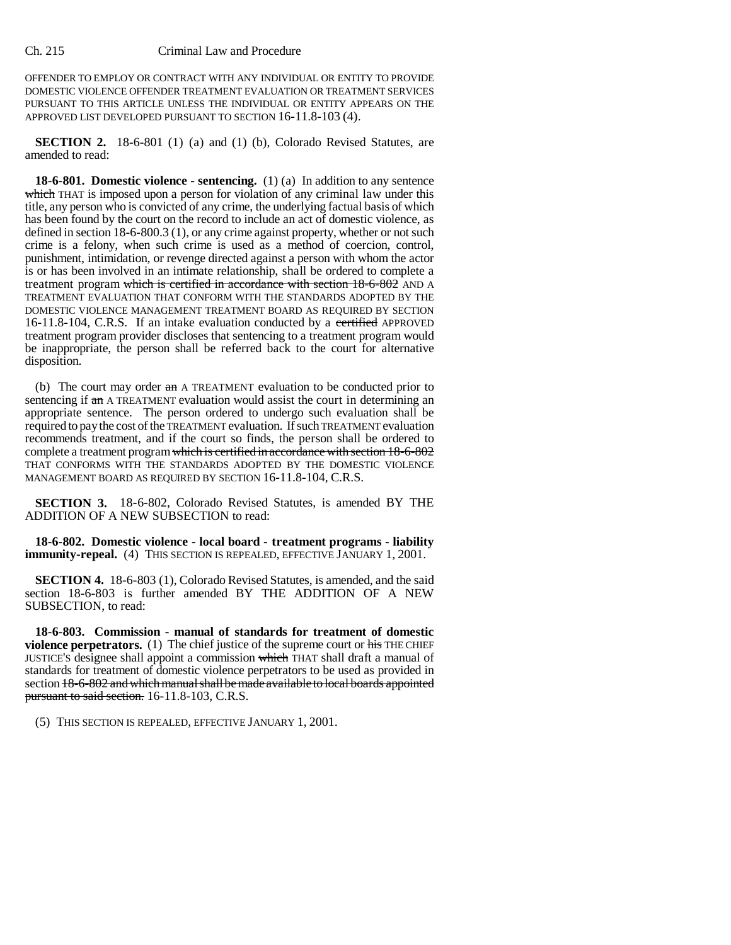OFFENDER TO EMPLOY OR CONTRACT WITH ANY INDIVIDUAL OR ENTITY TO PROVIDE DOMESTIC VIOLENCE OFFENDER TREATMENT EVALUATION OR TREATMENT SERVICES PURSUANT TO THIS ARTICLE UNLESS THE INDIVIDUAL OR ENTITY APPEARS ON THE APPROVED LIST DEVELOPED PURSUANT TO SECTION 16-11.8-103 (4).

**SECTION 2.** 18-6-801 (1) (a) and (1) (b), Colorado Revised Statutes, are amended to read:

**18-6-801. Domestic violence - sentencing.** (1) (a) In addition to any sentence which THAT is imposed upon a person for violation of any criminal law under this title, any person who is convicted of any crime, the underlying factual basis of which has been found by the court on the record to include an act of domestic violence, as defined in section 18-6-800.3 (1), or any crime against property, whether or not such crime is a felony, when such crime is used as a method of coercion, control, punishment, intimidation, or revenge directed against a person with whom the actor is or has been involved in an intimate relationship, shall be ordered to complete a treatment program which is certified in accordance with section 18-6-802 AND A TREATMENT EVALUATION THAT CONFORM WITH THE STANDARDS ADOPTED BY THE DOMESTIC VIOLENCE MANAGEMENT TREATMENT BOARD AS REQUIRED BY SECTION 16-11.8-104, C.R.S. If an intake evaluation conducted by a certified APPROVED treatment program provider discloses that sentencing to a treatment program would be inappropriate, the person shall be referred back to the court for alternative disposition.

(b) The court may order  $\theta$  and A TREATMENT evaluation to be conducted prior to sentencing if an A TREATMENT evaluation would assist the court in determining an appropriate sentence. The person ordered to undergo such evaluation shall be required to pay the cost of the TREATMENT evaluation. If such TREATMENT evaluation recommends treatment, and if the court so finds, the person shall be ordered to complete a treatment program which is certified in accordance with section 18-6-802 THAT CONFORMS WITH THE STANDARDS ADOPTED BY THE DOMESTIC VIOLENCE MANAGEMENT BOARD AS REQUIRED BY SECTION 16-11.8-104, C.R.S.

**SECTION 3.** 18-6-802, Colorado Revised Statutes, is amended BY THE ADDITION OF A NEW SUBSECTION to read:

**18-6-802. Domestic violence - local board - treatment programs - liability immunity-repeal.** (4) THIS SECTION IS REPEALED, EFFECTIVE JANUARY 1, 2001.

**SECTION 4.** 18-6-803 (1), Colorado Revised Statutes, is amended, and the said section 18-6-803 is further amended BY THE ADDITION OF A NEW SUBSECTION, to read:

**18-6-803. Commission - manual of standards for treatment of domestic violence perpetrators.** (1) The chief justice of the supreme court or his THE CHIEF JUSTICE'S designee shall appoint a commission which THAT shall draft a manual of standards for treatment of domestic violence perpetrators to be used as provided in section 18-6-802 and which manual shall be made available to local boards appointed pursuant to said section. 16-11.8-103, C.R.S.

(5) THIS SECTION IS REPEALED, EFFECTIVE JANUARY 1, 2001.